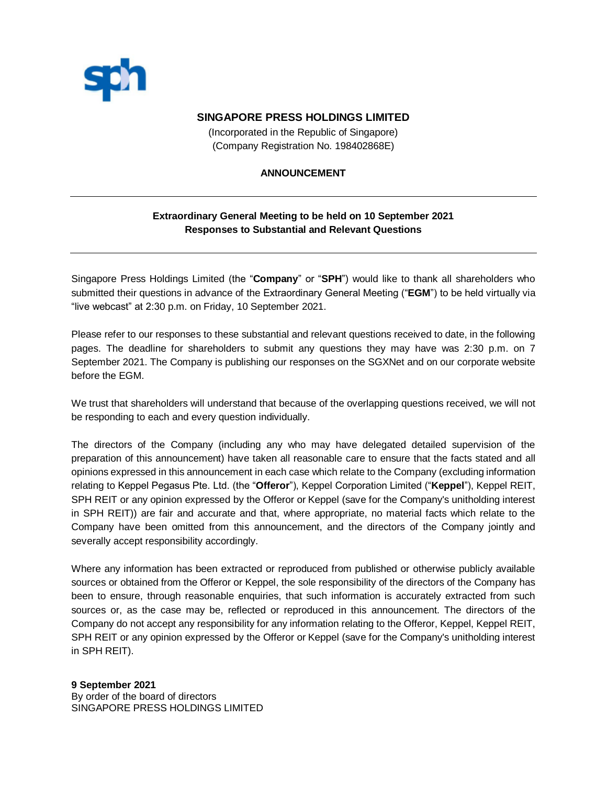

## **SINGAPORE PRESS HOLDINGS LIMITED**

(Incorporated in the Republic of Singapore) (Company Registration No. 198402868E)

### **ANNOUNCEMENT**

## **Extraordinary General Meeting to be held on 10 September 2021 Responses to Substantial and Relevant Questions**

Singapore Press Holdings Limited (the "**Company**" or "**SPH**") would like to thank all shareholders who submitted their questions in advance of the Extraordinary General Meeting ("**EGM**") to be held virtually via "live webcast" at 2:30 p.m. on Friday, 10 September 2021.

Please refer to our responses to these substantial and relevant questions received to date, in the following pages. The deadline for shareholders to submit any questions they may have was 2:30 p.m. on 7 September 2021. The Company is publishing our responses on the SGXNet and on our corporate website before the EGM.

We trust that shareholders will understand that because of the overlapping questions received, we will not be responding to each and every question individually.

The directors of the Company (including any who may have delegated detailed supervision of the preparation of this announcement) have taken all reasonable care to ensure that the facts stated and all opinions expressed in this announcement in each case which relate to the Company (excluding information relating to Keppel Pegasus Pte. Ltd. (the "**Offeror**"), Keppel Corporation Limited ("**Keppel**"), Keppel REIT, SPH REIT or any opinion expressed by the Offeror or Keppel (save for the Company's unitholding interest in SPH REIT)) are fair and accurate and that, where appropriate, no material facts which relate to the Company have been omitted from this announcement, and the directors of the Company jointly and severally accept responsibility accordingly.

Where any information has been extracted or reproduced from published or otherwise publicly available sources or obtained from the Offeror or Keppel, the sole responsibility of the directors of the Company has been to ensure, through reasonable enquiries, that such information is accurately extracted from such sources or, as the case may be, reflected or reproduced in this announcement. The directors of the Company do not accept any responsibility for any information relating to the Offeror, Keppel, Keppel REIT, SPH REIT or any opinion expressed by the Offeror or Keppel (save for the Company's unitholding interest in SPH REIT).

#### **9 September 2021**

By order of the board of directors SINGAPORE PRESS HOLDINGS LIMITED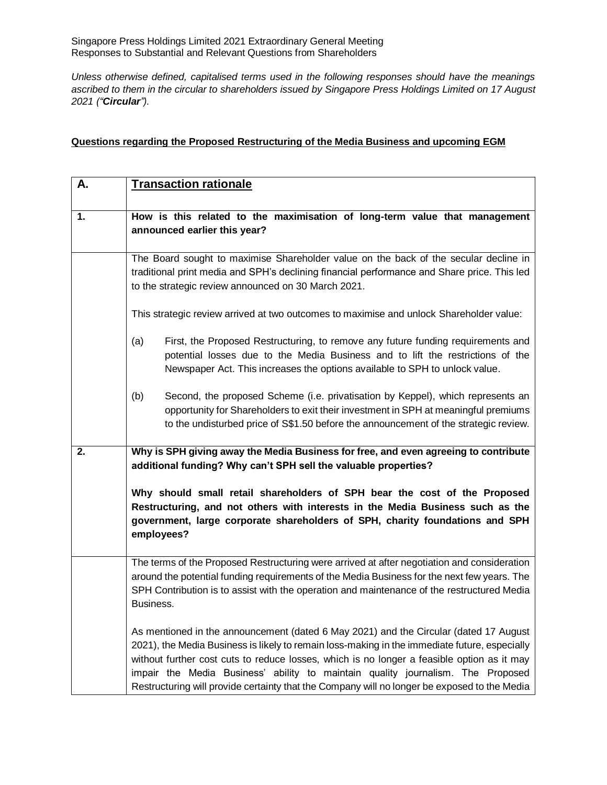Singapore Press Holdings Limited 2021 Extraordinary General Meeting Responses to Substantial and Relevant Questions from Shareholders

*Unless otherwise defined, capitalised terms used in the following responses should have the meanings ascribed to them in the circular to shareholders issued by Singapore Press Holdings Limited on 17 August 2021 ("Circular").*

## **Questions regarding the Proposed Restructuring of the Media Business and upcoming EGM**

| Α. | <b>Transaction rationale</b>                                                                                                                                                                                                                                                                                                                                                                                                                                            |
|----|-------------------------------------------------------------------------------------------------------------------------------------------------------------------------------------------------------------------------------------------------------------------------------------------------------------------------------------------------------------------------------------------------------------------------------------------------------------------------|
| 1. | How is this related to the maximisation of long-term value that management<br>announced earlier this year?                                                                                                                                                                                                                                                                                                                                                              |
|    | The Board sought to maximise Shareholder value on the back of the secular decline in<br>traditional print media and SPH's declining financial performance and Share price. This led<br>to the strategic review announced on 30 March 2021.                                                                                                                                                                                                                              |
|    | This strategic review arrived at two outcomes to maximise and unlock Shareholder value:                                                                                                                                                                                                                                                                                                                                                                                 |
|    | (a)<br>First, the Proposed Restructuring, to remove any future funding requirements and<br>potential losses due to the Media Business and to lift the restrictions of the<br>Newspaper Act. This increases the options available to SPH to unlock value.                                                                                                                                                                                                                |
|    | (b)<br>Second, the proposed Scheme (i.e. privatisation by Keppel), which represents an<br>opportunity for Shareholders to exit their investment in SPH at meaningful premiums<br>to the undisturbed price of S\$1.50 before the announcement of the strategic review.                                                                                                                                                                                                   |
| 2. | Why is SPH giving away the Media Business for free, and even agreeing to contribute<br>additional funding? Why can't SPH sell the valuable properties?                                                                                                                                                                                                                                                                                                                  |
|    | Why should small retail shareholders of SPH bear the cost of the Proposed<br>Restructuring, and not others with interests in the Media Business such as the<br>government, large corporate shareholders of SPH, charity foundations and SPH<br>employees?                                                                                                                                                                                                               |
|    | The terms of the Proposed Restructuring were arrived at after negotiation and consideration<br>around the potential funding requirements of the Media Business for the next few years. The<br>SPH Contribution is to assist with the operation and maintenance of the restructured Media<br>Business.                                                                                                                                                                   |
|    | As mentioned in the announcement (dated 6 May 2021) and the Circular (dated 17 August<br>2021), the Media Business is likely to remain loss-making in the immediate future, especially<br>without further cost cuts to reduce losses, which is no longer a feasible option as it may<br>impair the Media Business' ability to maintain quality journalism. The Proposed<br>Restructuring will provide certainty that the Company will no longer be exposed to the Media |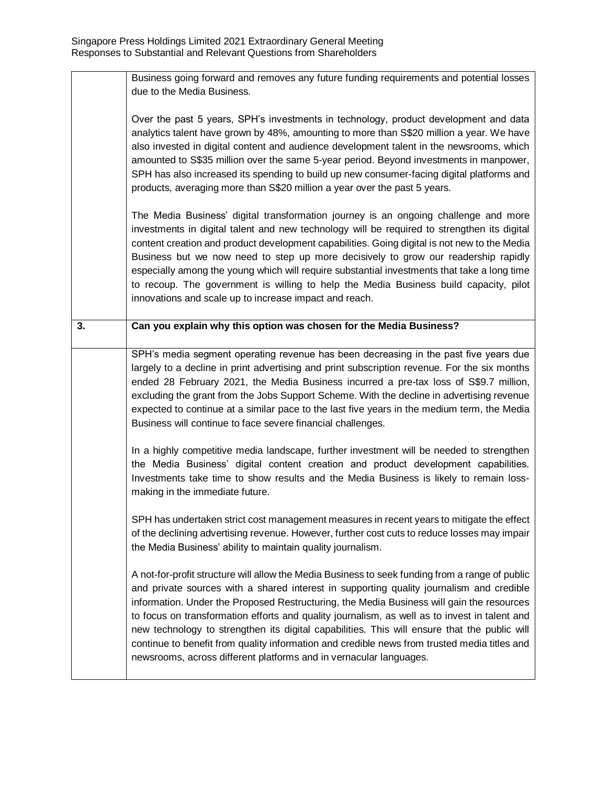|    | Business going forward and removes any future funding requirements and potential losses<br>due to the Media Business.                                                                                                                                                                                                                                                                                                                                                                                                                                                                                                                                           |
|----|-----------------------------------------------------------------------------------------------------------------------------------------------------------------------------------------------------------------------------------------------------------------------------------------------------------------------------------------------------------------------------------------------------------------------------------------------------------------------------------------------------------------------------------------------------------------------------------------------------------------------------------------------------------------|
|    | Over the past 5 years, SPH's investments in technology, product development and data<br>analytics talent have grown by 48%, amounting to more than S\$20 million a year. We have<br>also invested in digital content and audience development talent in the newsrooms, which<br>amounted to S\$35 million over the same 5-year period. Beyond investments in manpower,<br>SPH has also increased its spending to build up new consumer-facing digital platforms and<br>products, averaging more than S\$20 million a year over the past 5 years.                                                                                                                |
|    | The Media Business' digital transformation journey is an ongoing challenge and more<br>investments in digital talent and new technology will be required to strengthen its digital<br>content creation and product development capabilities. Going digital is not new to the Media<br>Business but we now need to step up more decisively to grow our readership rapidly<br>especially among the young which will require substantial investments that take a long time<br>to recoup. The government is willing to help the Media Business build capacity, pilot<br>innovations and scale up to increase impact and reach.                                      |
| 3. | Can you explain why this option was chosen for the Media Business?                                                                                                                                                                                                                                                                                                                                                                                                                                                                                                                                                                                              |
|    | SPH's media segment operating revenue has been decreasing in the past five years due<br>largely to a decline in print advertising and print subscription revenue. For the six months<br>ended 28 February 2021, the Media Business incurred a pre-tax loss of S\$9.7 million,<br>excluding the grant from the Jobs Support Scheme. With the decline in advertising revenue<br>expected to continue at a similar pace to the last five years in the medium term, the Media<br>Business will continue to face severe financial challenges.                                                                                                                        |
|    | In a highly competitive media landscape, further investment will be needed to strengthen<br>the Media Business' digital content creation and product development capabilities.<br>Investments take time to show results and the Media Business is likely to remain loss-<br>making in the immediate future.                                                                                                                                                                                                                                                                                                                                                     |
|    | SPH has undertaken strict cost management measures in recent years to mitigate the effect<br>of the declining advertising revenue. However, further cost cuts to reduce losses may impair<br>the Media Business' ability to maintain quality journalism.                                                                                                                                                                                                                                                                                                                                                                                                        |
|    | A not-for-profit structure will allow the Media Business to seek funding from a range of public<br>and private sources with a shared interest in supporting quality journalism and credible<br>information. Under the Proposed Restructuring, the Media Business will gain the resources<br>to focus on transformation efforts and quality journalism, as well as to invest in talent and<br>new technology to strengthen its digital capabilities. This will ensure that the public will<br>continue to benefit from quality information and credible news from trusted media titles and<br>newsrooms, across different platforms and in vernacular languages. |
|    |                                                                                                                                                                                                                                                                                                                                                                                                                                                                                                                                                                                                                                                                 |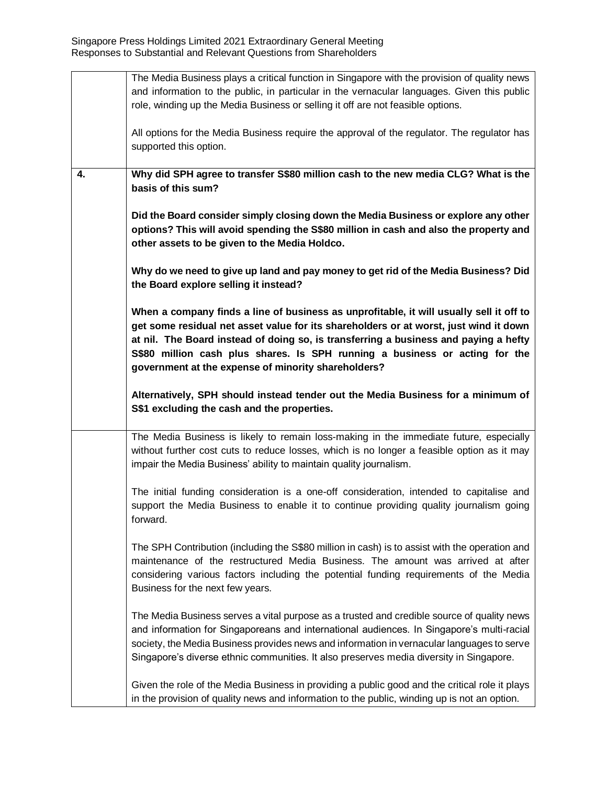|    | The Media Business plays a critical function in Singapore with the provision of quality news                                                                                                   |
|----|------------------------------------------------------------------------------------------------------------------------------------------------------------------------------------------------|
|    | and information to the public, in particular in the vernacular languages. Given this public                                                                                                    |
|    | role, winding up the Media Business or selling it off are not feasible options.                                                                                                                |
|    |                                                                                                                                                                                                |
|    | All options for the Media Business require the approval of the regulator. The regulator has                                                                                                    |
|    |                                                                                                                                                                                                |
|    | supported this option.                                                                                                                                                                         |
|    |                                                                                                                                                                                                |
| 4. | Why did SPH agree to transfer S\$80 million cash to the new media CLG? What is the                                                                                                             |
|    | basis of this sum?                                                                                                                                                                             |
|    |                                                                                                                                                                                                |
|    | Did the Board consider simply closing down the Media Business or explore any other                                                                                                             |
|    | options? This will avoid spending the S\$80 million in cash and also the property and                                                                                                          |
|    | other assets to be given to the Media Holdco.                                                                                                                                                  |
|    |                                                                                                                                                                                                |
|    | Why do we need to give up land and pay money to get rid of the Media Business? Did                                                                                                             |
|    |                                                                                                                                                                                                |
|    | the Board explore selling it instead?                                                                                                                                                          |
|    |                                                                                                                                                                                                |
|    | When a company finds a line of business as unprofitable, it will usually sell it off to                                                                                                        |
|    | get some residual net asset value for its shareholders or at worst, just wind it down                                                                                                          |
|    | at nil. The Board instead of doing so, is transferring a business and paying a hefty                                                                                                           |
|    | S\$80 million cash plus shares. Is SPH running a business or acting for the                                                                                                                    |
|    | government at the expense of minority shareholders?                                                                                                                                            |
|    |                                                                                                                                                                                                |
|    | Alternatively, SPH should instead tender out the Media Business for a minimum of                                                                                                               |
|    | S\$1 excluding the cash and the properties.                                                                                                                                                    |
|    |                                                                                                                                                                                                |
|    |                                                                                                                                                                                                |
|    | The Media Business is likely to remain loss-making in the immediate future, especially                                                                                                         |
|    | without further cost cuts to reduce losses, which is no longer a feasible option as it may                                                                                                     |
|    | impair the Media Business' ability to maintain quality journalism.                                                                                                                             |
|    |                                                                                                                                                                                                |
|    |                                                                                                                                                                                                |
|    | The initial funding consideration is a one-off consideration, intended to capitalise and                                                                                                       |
|    | support the Media Business to enable it to continue providing quality journalism going                                                                                                         |
|    | forward.                                                                                                                                                                                       |
|    |                                                                                                                                                                                                |
|    |                                                                                                                                                                                                |
|    | The SPH Contribution (including the S\$80 million in cash) is to assist with the operation and                                                                                                 |
|    | maintenance of the restructured Media Business. The amount was arrived at after                                                                                                                |
|    | considering various factors including the potential funding requirements of the Media                                                                                                          |
|    | Business for the next few years.                                                                                                                                                               |
|    |                                                                                                                                                                                                |
|    | The Media Business serves a vital purpose as a trusted and credible source of quality news                                                                                                     |
|    | and information for Singaporeans and international audiences. In Singapore's multi-racial                                                                                                      |
|    | society, the Media Business provides news and information in vernacular languages to serve                                                                                                     |
|    |                                                                                                                                                                                                |
|    | Singapore's diverse ethnic communities. It also preserves media diversity in Singapore.                                                                                                        |
|    |                                                                                                                                                                                                |
|    | Given the role of the Media Business in providing a public good and the critical role it plays<br>in the provision of quality news and information to the public, winding up is not an option. |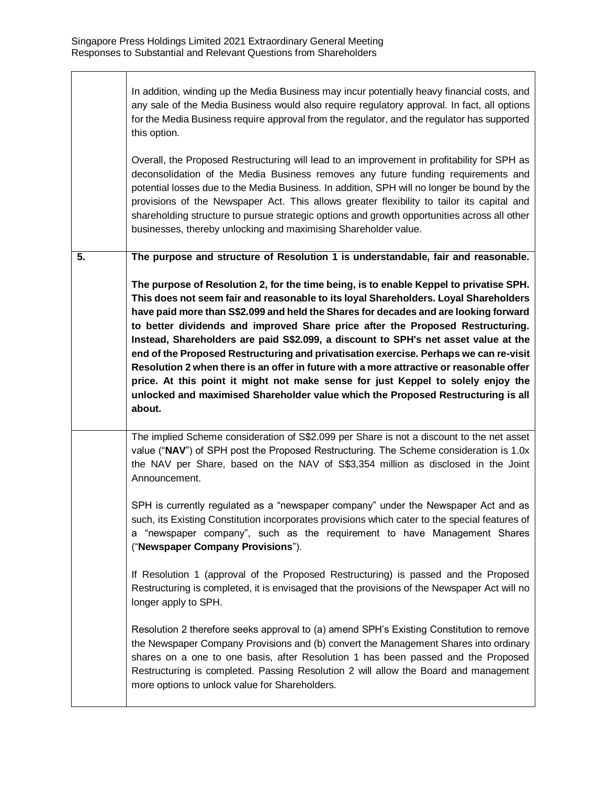In addition, winding up the Media Business may incur potentially heavy financial costs, and any sale of the Media Business would also require regulatory approval. In fact, all options for the Media Business require approval from the regulator, and the regulator has supported this option.

Overall, the Proposed Restructuring will lead to an improvement in profitability for SPH as deconsolidation of the Media Business removes any future funding requirements and potential losses due to the Media Business. In addition, SPH will no longer be bound by the provisions of the Newspaper Act. This allows greater flexibility to tailor its capital and shareholding structure to pursue strategic options and growth opportunities across all other businesses, thereby unlocking and maximising Shareholder value.

**5. The purpose and structure of Resolution 1 is understandable, fair and reasonable.**

**The purpose of Resolution 2, for the time being, is to enable Keppel to privatise SPH. This does not seem fair and reasonable to its loyal Shareholders. Loyal Shareholders have paid more than S\$2.099 and held the Shares for decades and are looking forward to better dividends and improved Share price after the Proposed Restructuring. Instead, Shareholders are paid S\$2.099, a discount to SPH's net asset value at the end of the Proposed Restructuring and privatisation exercise. Perhaps we can re-visit Resolution 2 when there is an offer in future with a more attractive or reasonable offer price. At this point it might not make sense for just Keppel to solely enjoy the unlocked and maximised Shareholder value which the Proposed Restructuring is all about.**

The implied Scheme consideration of S\$2.099 per Share is not a discount to the net asset value ("**NAV**") of SPH post the Proposed Restructuring. The Scheme consideration is 1.0x the NAV per Share, based on the NAV of S\$3,354 million as disclosed in the Joint Announcement.

SPH is currently regulated as a "newspaper company" under the Newspaper Act and as such, its Existing Constitution incorporates provisions which cater to the special features of a "newspaper company", such as the requirement to have Management Shares ("**Newspaper Company Provisions**").

If Resolution 1 (approval of the Proposed Restructuring) is passed and the Proposed Restructuring is completed, it is envisaged that the provisions of the Newspaper Act will no longer apply to SPH.

Resolution 2 therefore seeks approval to (a) amend SPH's Existing Constitution to remove the Newspaper Company Provisions and (b) convert the Management Shares into ordinary shares on a one to one basis, after Resolution 1 has been passed and the Proposed Restructuring is completed. Passing Resolution 2 will allow the Board and management more options to unlock value for Shareholders.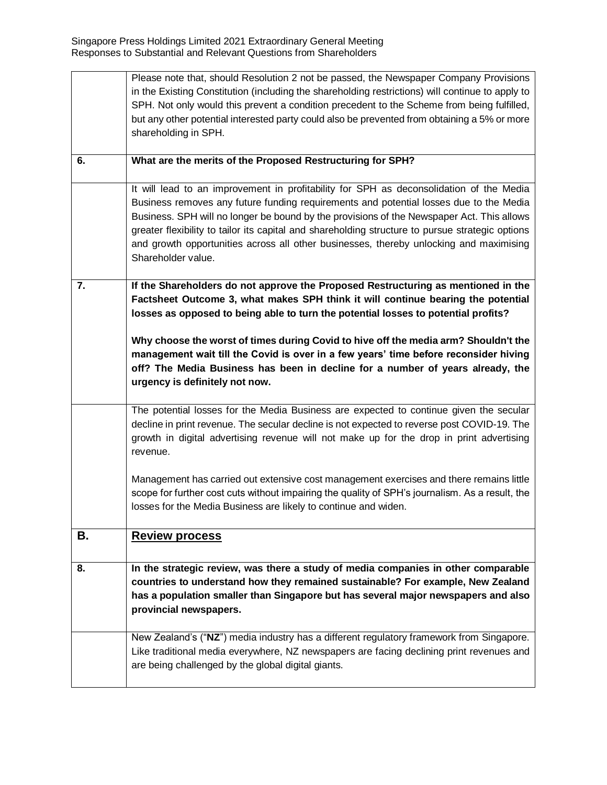|    | Please note that, should Resolution 2 not be passed, the Newspaper Company Provisions<br>in the Existing Constitution (including the shareholding restrictions) will continue to apply to<br>SPH. Not only would this prevent a condition precedent to the Scheme from being fulfilled,<br>but any other potential interested party could also be prevented from obtaining a 5% or more                                                                                                            |
|----|----------------------------------------------------------------------------------------------------------------------------------------------------------------------------------------------------------------------------------------------------------------------------------------------------------------------------------------------------------------------------------------------------------------------------------------------------------------------------------------------------|
|    | shareholding in SPH.                                                                                                                                                                                                                                                                                                                                                                                                                                                                               |
| 6. | What are the merits of the Proposed Restructuring for SPH?                                                                                                                                                                                                                                                                                                                                                                                                                                         |
|    | It will lead to an improvement in profitability for SPH as deconsolidation of the Media<br>Business removes any future funding requirements and potential losses due to the Media<br>Business. SPH will no longer be bound by the provisions of the Newspaper Act. This allows<br>greater flexibility to tailor its capital and shareholding structure to pursue strategic options<br>and growth opportunities across all other businesses, thereby unlocking and maximising<br>Shareholder value. |
| 7. | If the Shareholders do not approve the Proposed Restructuring as mentioned in the<br>Factsheet Outcome 3, what makes SPH think it will continue bearing the potential<br>losses as opposed to being able to turn the potential losses to potential profits?                                                                                                                                                                                                                                        |
|    | Why choose the worst of times during Covid to hive off the media arm? Shouldn't the<br>management wait till the Covid is over in a few years' time before reconsider hiving<br>off? The Media Business has been in decline for a number of years already, the<br>urgency is definitely not now.                                                                                                                                                                                                    |
|    | The potential losses for the Media Business are expected to continue given the secular<br>decline in print revenue. The secular decline is not expected to reverse post COVID-19. The<br>growth in digital advertising revenue will not make up for the drop in print advertising<br>revenue.                                                                                                                                                                                                      |
|    | Management has carried out extensive cost management exercises and there remains little<br>scope for further cost cuts without impairing the quality of SPH's journalism. As a result, the<br>losses for the Media Business are likely to continue and widen.                                                                                                                                                                                                                                      |
| В. | <b>Review process</b>                                                                                                                                                                                                                                                                                                                                                                                                                                                                              |
| 8. | In the strategic review, was there a study of media companies in other comparable<br>countries to understand how they remained sustainable? For example, New Zealand<br>has a population smaller than Singapore but has several major newspapers and also<br>provincial newspapers.                                                                                                                                                                                                                |
|    | New Zealand's ("NZ") media industry has a different regulatory framework from Singapore.<br>Like traditional media everywhere, NZ newspapers are facing declining print revenues and<br>are being challenged by the global digital giants.                                                                                                                                                                                                                                                         |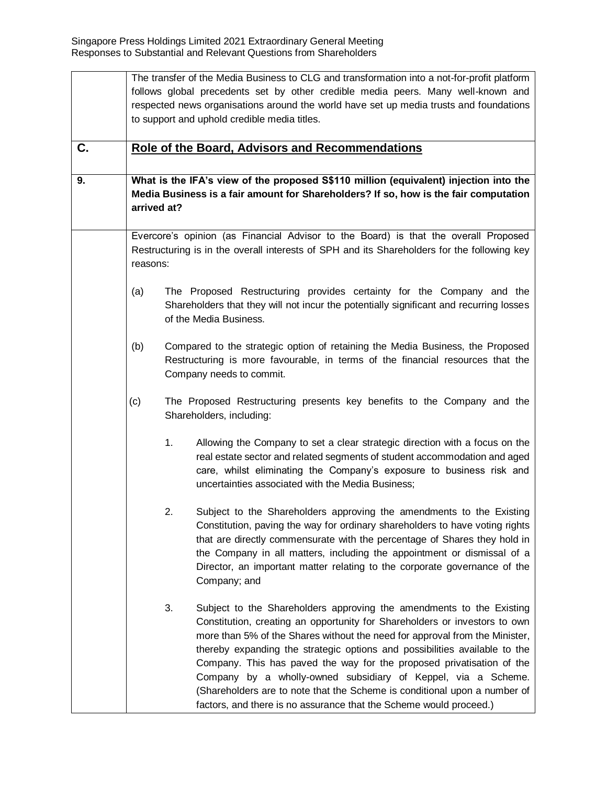|    |          | The transfer of the Media Business to CLG and transformation into a not-for-profit platform<br>follows global precedents set by other credible media peers. Many well-known and<br>respected news organisations around the world have set up media trusts and foundations<br>to support and uphold credible media titles.                                                                                                                                                                                                                                                                                          |
|----|----------|--------------------------------------------------------------------------------------------------------------------------------------------------------------------------------------------------------------------------------------------------------------------------------------------------------------------------------------------------------------------------------------------------------------------------------------------------------------------------------------------------------------------------------------------------------------------------------------------------------------------|
| C. |          | <b>Role of the Board, Advisors and Recommendations</b>                                                                                                                                                                                                                                                                                                                                                                                                                                                                                                                                                             |
| 9. |          | What is the IFA's view of the proposed S\$110 million (equivalent) injection into the<br>Media Business is a fair amount for Shareholders? If so, how is the fair computation<br>arrived at?                                                                                                                                                                                                                                                                                                                                                                                                                       |
|    | reasons: | Evercore's opinion (as Financial Advisor to the Board) is that the overall Proposed<br>Restructuring is in the overall interests of SPH and its Shareholders for the following key                                                                                                                                                                                                                                                                                                                                                                                                                                 |
|    | (a)      | The Proposed Restructuring provides certainty for the Company and the<br>Shareholders that they will not incur the potentially significant and recurring losses<br>of the Media Business.                                                                                                                                                                                                                                                                                                                                                                                                                          |
|    | (b)      | Compared to the strategic option of retaining the Media Business, the Proposed<br>Restructuring is more favourable, in terms of the financial resources that the<br>Company needs to commit.                                                                                                                                                                                                                                                                                                                                                                                                                       |
|    | (c)      | The Proposed Restructuring presents key benefits to the Company and the<br>Shareholders, including:                                                                                                                                                                                                                                                                                                                                                                                                                                                                                                                |
|    |          | 1.<br>Allowing the Company to set a clear strategic direction with a focus on the<br>real estate sector and related segments of student accommodation and aged<br>care, whilst eliminating the Company's exposure to business risk and<br>uncertainties associated with the Media Business;                                                                                                                                                                                                                                                                                                                        |
|    |          | 2.<br>Subject to the Shareholders approving the amendments to the Existing<br>Constitution, paving the way for ordinary shareholders to have voting rights<br>that are directly commensurate with the percentage of Shares they hold in<br>the Company in all matters, including the appointment or dismissal of a<br>Director, an important matter relating to the corporate governance of the<br>Company; and                                                                                                                                                                                                    |
|    |          | 3.<br>Subject to the Shareholders approving the amendments to the Existing<br>Constitution, creating an opportunity for Shareholders or investors to own<br>more than 5% of the Shares without the need for approval from the Minister,<br>thereby expanding the strategic options and possibilities available to the<br>Company. This has paved the way for the proposed privatisation of the<br>Company by a wholly-owned subsidiary of Keppel, via a Scheme.<br>(Shareholders are to note that the Scheme is conditional upon a number of<br>factors, and there is no assurance that the Scheme would proceed.) |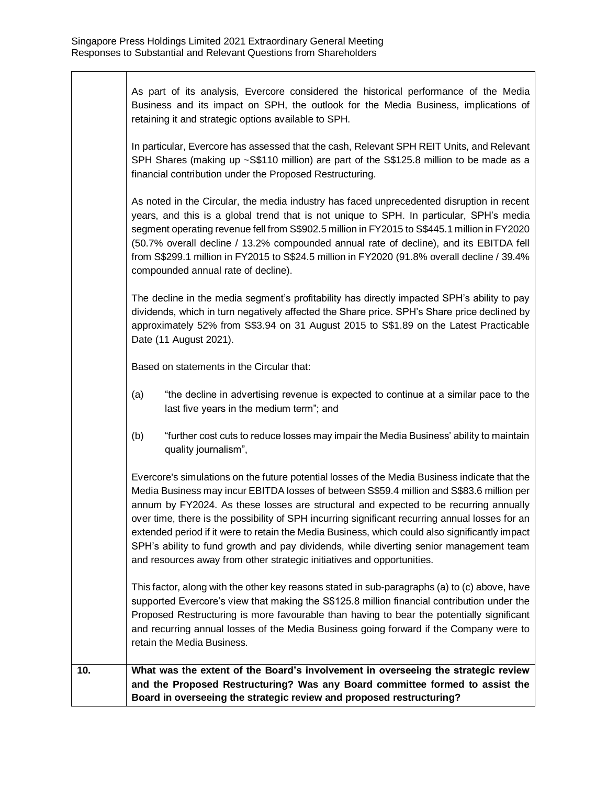As part of its analysis, Evercore considered the historical performance of the Media Business and its impact on SPH, the outlook for the Media Business, implications of retaining it and strategic options available to SPH.

In particular, Evercore has assessed that the cash, Relevant SPH REIT Units, and Relevant SPH Shares (making up ~S\$110 million) are part of the S\$125.8 million to be made as a financial contribution under the Proposed Restructuring.

As noted in the Circular, the media industry has faced unprecedented disruption in recent years, and this is a global trend that is not unique to SPH. In particular, SPH's media segment operating revenue fell from S\$902.5 million in FY2015 to S\$445.1 million in FY2020 (50.7% overall decline / 13.2% compounded annual rate of decline), and its EBITDA fell from S\$299.1 million in FY2015 to S\$24.5 million in FY2020 (91.8% overall decline / 39.4% compounded annual rate of decline).

The decline in the media segment's profitability has directly impacted SPH's ability to pay dividends, which in turn negatively affected the Share price. SPH's Share price declined by approximately 52% from S\$3.94 on 31 August 2015 to S\$1.89 on the Latest Practicable Date (11 August 2021).

Based on statements in the Circular that:

- (a) "the decline in advertising revenue is expected to continue at a similar pace to the last five years in the medium term"; and
- (b) "further cost cuts to reduce losses may impair the Media Business' ability to maintain quality journalism",

Evercore's simulations on the future potential losses of the Media Business indicate that the Media Business may incur EBITDA losses of between S\$59.4 million and S\$83.6 million per annum by FY2024. As these losses are structural and expected to be recurring annually over time, there is the possibility of SPH incurring significant recurring annual losses for an extended period if it were to retain the Media Business, which could also significantly impact SPH's ability to fund growth and pay dividends, while diverting senior management team and resources away from other strategic initiatives and opportunities.

This factor, along with the other key reasons stated in sub-paragraphs (a) to (c) above, have supported Evercore's view that making the S\$125.8 million financial contribution under the Proposed Restructuring is more favourable than having to bear the potentially significant and recurring annual losses of the Media Business going forward if the Company were to retain the Media Business.

# **10. What was the extent of the Board's involvement in overseeing the strategic review and the Proposed Restructuring? Was any Board committee formed to assist the Board in overseeing the strategic review and proposed restructuring?**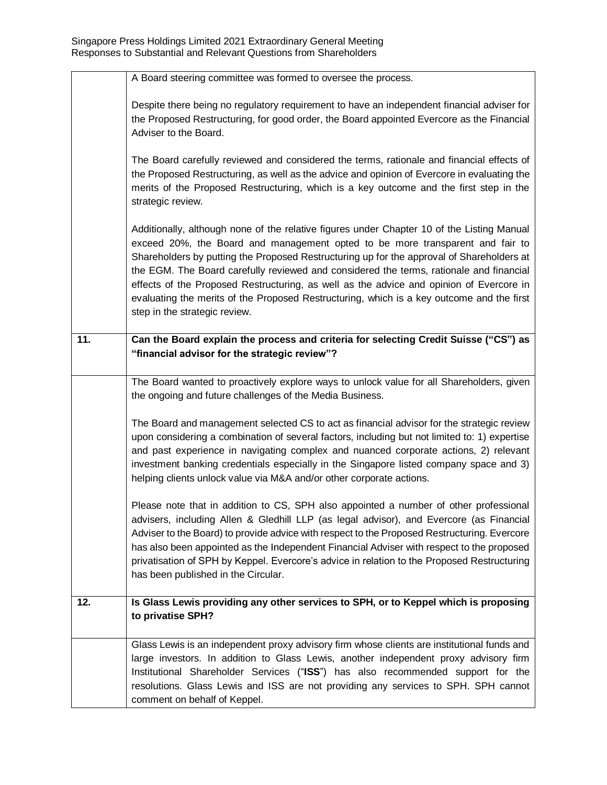|                   | A Board steering committee was formed to oversee the process.                                                                                                                                                                                                                                                                                                                                                                                                                                                                                                                                |
|-------------------|----------------------------------------------------------------------------------------------------------------------------------------------------------------------------------------------------------------------------------------------------------------------------------------------------------------------------------------------------------------------------------------------------------------------------------------------------------------------------------------------------------------------------------------------------------------------------------------------|
|                   | Despite there being no regulatory requirement to have an independent financial adviser for<br>the Proposed Restructuring, for good order, the Board appointed Evercore as the Financial<br>Adviser to the Board.                                                                                                                                                                                                                                                                                                                                                                             |
|                   | The Board carefully reviewed and considered the terms, rationale and financial effects of<br>the Proposed Restructuring, as well as the advice and opinion of Evercore in evaluating the<br>merits of the Proposed Restructuring, which is a key outcome and the first step in the<br>strategic review.                                                                                                                                                                                                                                                                                      |
|                   | Additionally, although none of the relative figures under Chapter 10 of the Listing Manual<br>exceed 20%, the Board and management opted to be more transparent and fair to<br>Shareholders by putting the Proposed Restructuring up for the approval of Shareholders at<br>the EGM. The Board carefully reviewed and considered the terms, rationale and financial<br>effects of the Proposed Restructuring, as well as the advice and opinion of Evercore in<br>evaluating the merits of the Proposed Restructuring, which is a key outcome and the first<br>step in the strategic review. |
| $\overline{11}$ . | Can the Board explain the process and criteria for selecting Credit Suisse ("CS") as<br>"financial advisor for the strategic review"?                                                                                                                                                                                                                                                                                                                                                                                                                                                        |
|                   | The Board wanted to proactively explore ways to unlock value for all Shareholders, given<br>the ongoing and future challenges of the Media Business.                                                                                                                                                                                                                                                                                                                                                                                                                                         |
|                   | The Board and management selected CS to act as financial advisor for the strategic review<br>upon considering a combination of several factors, including but not limited to: 1) expertise<br>and past experience in navigating complex and nuanced corporate actions, 2) relevant<br>investment banking credentials especially in the Singapore listed company space and 3)<br>helping clients unlock value via M&A and/or other corporate actions.                                                                                                                                         |
|                   | Please note that in addition to CS, SPH also appointed a number of other professional<br>advisers, including Allen & Gledhill LLP (as legal advisor), and Evercore (as Financial<br>Adviser to the Board) to provide advice with respect to the Proposed Restructuring. Evercore<br>has also been appointed as the Independent Financial Adviser with respect to the proposed<br>privatisation of SPH by Keppel. Evercore's advice in relation to the Proposed Restructuring<br>has been published in the Circular.                                                                          |
| 12.               | Is Glass Lewis providing any other services to SPH, or to Keppel which is proposing<br>to privatise SPH?                                                                                                                                                                                                                                                                                                                                                                                                                                                                                     |
|                   | Glass Lewis is an independent proxy advisory firm whose clients are institutional funds and<br>large investors. In addition to Glass Lewis, another independent proxy advisory firm<br>Institutional Shareholder Services ("ISS") has also recommended support for the<br>resolutions. Glass Lewis and ISS are not providing any services to SPH. SPH cannot<br>comment on behalf of Keppel.                                                                                                                                                                                                 |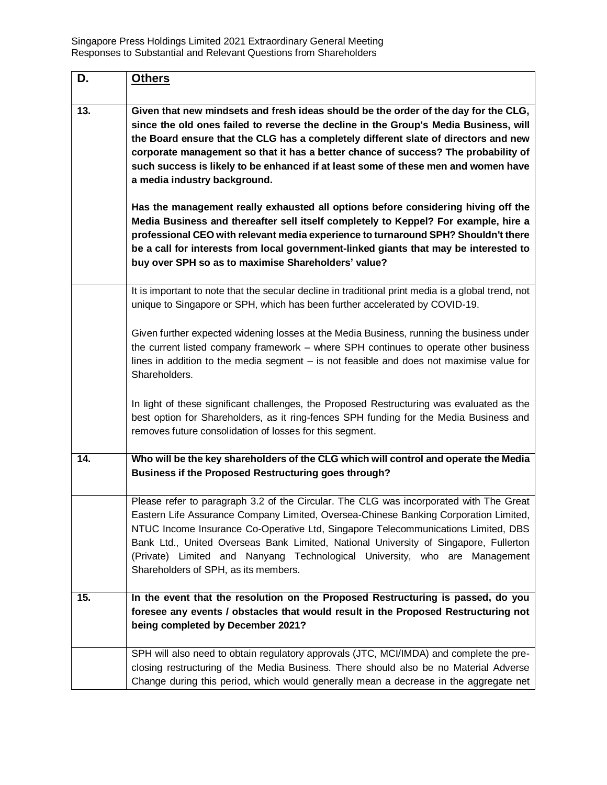| D.  | <b>Others</b>                                                                                                                                                                                                                                                                                                                                                                                                                                                                     |
|-----|-----------------------------------------------------------------------------------------------------------------------------------------------------------------------------------------------------------------------------------------------------------------------------------------------------------------------------------------------------------------------------------------------------------------------------------------------------------------------------------|
| 13. | Given that new mindsets and fresh ideas should be the order of the day for the CLG,<br>since the old ones failed to reverse the decline in the Group's Media Business, will<br>the Board ensure that the CLG has a completely different slate of directors and new<br>corporate management so that it has a better chance of success? The probability of<br>such success is likely to be enhanced if at least some of these men and women have<br>a media industry background.    |
|     | Has the management really exhausted all options before considering hiving off the<br>Media Business and thereafter sell itself completely to Keppel? For example, hire a<br>professional CEO with relevant media experience to turnaround SPH? Shouldn't there<br>be a call for interests from local government-linked giants that may be interested to<br>buy over SPH so as to maximise Shareholders' value?                                                                    |
|     | It is important to note that the secular decline in traditional print media is a global trend, not<br>unique to Singapore or SPH, which has been further accelerated by COVID-19.                                                                                                                                                                                                                                                                                                 |
|     | Given further expected widening losses at the Media Business, running the business under<br>the current listed company framework - where SPH continues to operate other business<br>lines in addition to the media segment - is not feasible and does not maximise value for<br>Shareholders.                                                                                                                                                                                     |
|     | In light of these significant challenges, the Proposed Restructuring was evaluated as the<br>best option for Shareholders, as it ring-fences SPH funding for the Media Business and<br>removes future consolidation of losses for this segment.                                                                                                                                                                                                                                   |
| 14. | Who will be the key shareholders of the CLG which will control and operate the Media<br>Business if the Proposed Restructuring goes through?                                                                                                                                                                                                                                                                                                                                      |
|     | Please refer to paragraph 3.2 of the Circular. The CLG was incorporated with The Great<br>Eastern Life Assurance Company Limited, Oversea-Chinese Banking Corporation Limited,<br>NTUC Income Insurance Co-Operative Ltd, Singapore Telecommunications Limited, DBS<br>Bank Ltd., United Overseas Bank Limited, National University of Singapore, Fullerton<br>(Private) Limited and Nanyang Technological University, who are Management<br>Shareholders of SPH, as its members. |
| 15. | In the event that the resolution on the Proposed Restructuring is passed, do you<br>foresee any events / obstacles that would result in the Proposed Restructuring not                                                                                                                                                                                                                                                                                                            |
|     | being completed by December 2021?                                                                                                                                                                                                                                                                                                                                                                                                                                                 |
|     | SPH will also need to obtain regulatory approvals (JTC, MCI/IMDA) and complete the pre-<br>closing restructuring of the Media Business. There should also be no Material Adverse                                                                                                                                                                                                                                                                                                  |
|     | Change during this period, which would generally mean a decrease in the aggregate net                                                                                                                                                                                                                                                                                                                                                                                             |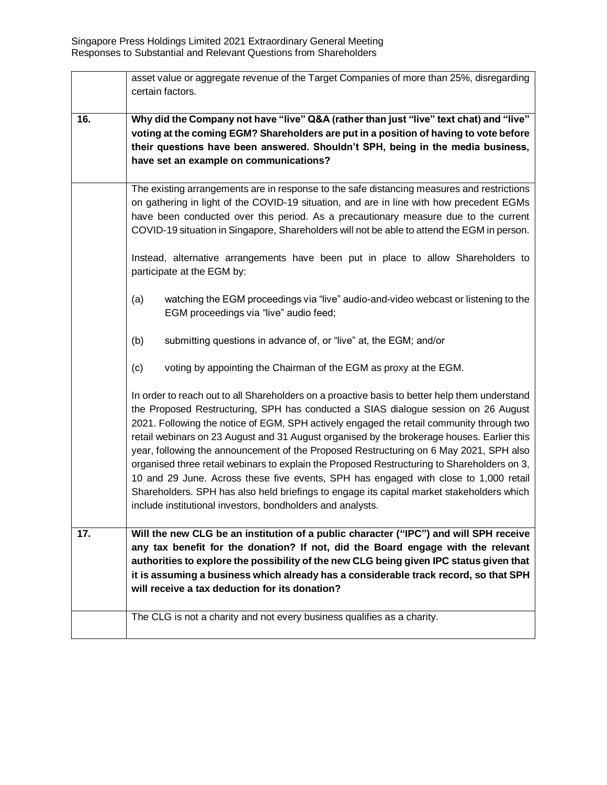|        | asset value or aggregate revenue of the Target Companies of more than 25%, disregarding<br>certain factors.                                                                                                                                                                                                                                                                                                                                                                                                                                                                                                                                                                                                                                                                                                               |
|--------|---------------------------------------------------------------------------------------------------------------------------------------------------------------------------------------------------------------------------------------------------------------------------------------------------------------------------------------------------------------------------------------------------------------------------------------------------------------------------------------------------------------------------------------------------------------------------------------------------------------------------------------------------------------------------------------------------------------------------------------------------------------------------------------------------------------------------|
| $16$ . | Why did the Company not have "live" Q&A (rather than just "live" text chat) and "live"<br>voting at the coming EGM? Shareholders are put in a position of having to vote before<br>their questions have been answered. Shouldn't SPH, being in the media business,<br>have set an example on communications?                                                                                                                                                                                                                                                                                                                                                                                                                                                                                                              |
|        | The existing arrangements are in response to the safe distancing measures and restrictions<br>on gathering in light of the COVID-19 situation, and are in line with how precedent EGMs<br>have been conducted over this period. As a precautionary measure due to the current<br>COVID-19 situation in Singapore, Shareholders will not be able to attend the EGM in person.                                                                                                                                                                                                                                                                                                                                                                                                                                              |
|        | Instead, alternative arrangements have been put in place to allow Shareholders to<br>participate at the EGM by:                                                                                                                                                                                                                                                                                                                                                                                                                                                                                                                                                                                                                                                                                                           |
|        | watching the EGM proceedings via "live" audio-and-video webcast or listening to the<br>(a)<br>EGM proceedings via "live" audio feed;                                                                                                                                                                                                                                                                                                                                                                                                                                                                                                                                                                                                                                                                                      |
|        | (b)<br>submitting questions in advance of, or "live" at, the EGM; and/or                                                                                                                                                                                                                                                                                                                                                                                                                                                                                                                                                                                                                                                                                                                                                  |
|        | (c)<br>voting by appointing the Chairman of the EGM as proxy at the EGM.                                                                                                                                                                                                                                                                                                                                                                                                                                                                                                                                                                                                                                                                                                                                                  |
|        | In order to reach out to all Shareholders on a proactive basis to better help them understand<br>the Proposed Restructuring, SPH has conducted a SIAS dialogue session on 26 August<br>2021. Following the notice of EGM, SPH actively engaged the retail community through two<br>retail webinars on 23 August and 31 August organised by the brokerage houses. Earlier this<br>year, following the announcement of the Proposed Restructuring on 6 May 2021, SPH also<br>organised three retail webinars to explain the Proposed Restructuring to Shareholders on 3,<br>10 and 29 June. Across these five events, SPH has engaged with close to 1,000 retail<br>Shareholders. SPH has also held briefings to engage its capital market stakeholders which<br>include institutional investors, bondholders and analysts. |
| 17.    | Will the new CLG be an institution of a public character ("IPC") and will SPH receive<br>any tax benefit for the donation? If not, did the Board engage with the relevant<br>authorities to explore the possibility of the new CLG being given IPC status given that<br>it is assuming a business which already has a considerable track record, so that SPH<br>will receive a tax deduction for its donation?                                                                                                                                                                                                                                                                                                                                                                                                            |
|        | The CLG is not a charity and not every business qualifies as a charity.                                                                                                                                                                                                                                                                                                                                                                                                                                                                                                                                                                                                                                                                                                                                                   |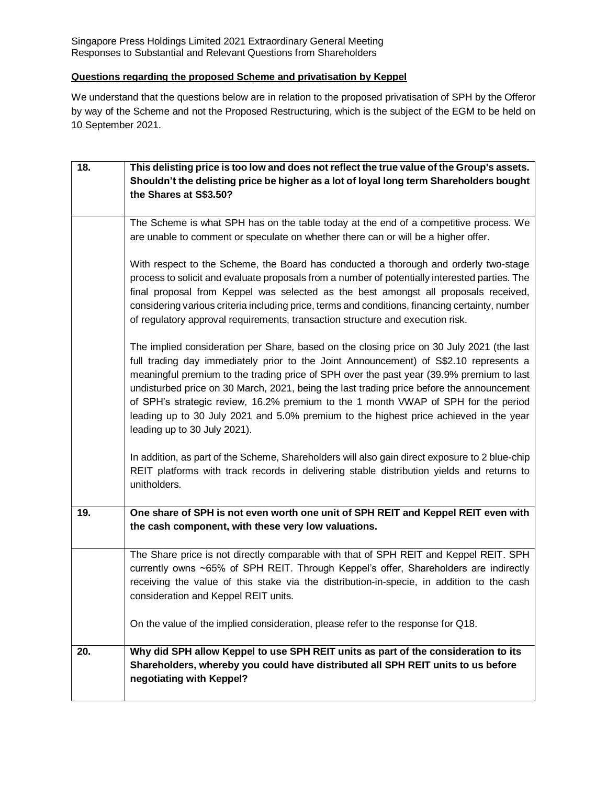Singapore Press Holdings Limited 2021 Extraordinary General Meeting Responses to Substantial and Relevant Questions from Shareholders

## **Questions regarding the proposed Scheme and privatisation by Keppel**

We understand that the questions below are in relation to the proposed privatisation of SPH by the Offeror by way of the Scheme and not the Proposed Restructuring, which is the subject of the EGM to be held on 10 September 2021.

| 18. | This delisting price is too low and does not reflect the true value of the Group's assets.      |
|-----|-------------------------------------------------------------------------------------------------|
|     | Shouldn't the delisting price be higher as a lot of loyal long term Shareholders bought         |
|     | the Shares at S\$3.50?                                                                          |
|     | The Scheme is what SPH has on the table today at the end of a competitive process. We           |
|     | are unable to comment or speculate on whether there can or will be a higher offer.              |
|     |                                                                                                 |
|     | With respect to the Scheme, the Board has conducted a thorough and orderly two-stage            |
|     | process to solicit and evaluate proposals from a number of potentially interested parties. The  |
|     | final proposal from Keppel was selected as the best amongst all proposals received,             |
|     | considering various criteria including price, terms and conditions, financing certainty, number |
|     | of regulatory approval requirements, transaction structure and execution risk.                  |
|     | The implied consideration per Share, based on the closing price on 30 July 2021 (the last       |
|     | full trading day immediately prior to the Joint Announcement) of S\$2.10 represents a           |
|     | meaningful premium to the trading price of SPH over the past year (39.9% premium to last        |
|     | undisturbed price on 30 March, 2021, being the last trading price before the announcement       |
|     | of SPH's strategic review, 16.2% premium to the 1 month VWAP of SPH for the period              |
|     | leading up to 30 July 2021 and 5.0% premium to the highest price achieved in the year           |
|     | leading up to 30 July 2021).                                                                    |
|     | In addition, as part of the Scheme, Shareholders will also gain direct exposure to 2 blue-chip  |
|     | REIT platforms with track records in delivering stable distribution yields and returns to       |
|     | unitholders.                                                                                    |
|     |                                                                                                 |
| 19. | One share of SPH is not even worth one unit of SPH REIT and Keppel REIT even with               |
|     | the cash component, with these very low valuations.                                             |
|     | The Share price is not directly comparable with that of SPH REIT and Keppel REIT. SPH           |
|     | currently owns ~65% of SPH REIT. Through Keppel's offer, Shareholders are indirectly            |
|     | receiving the value of this stake via the distribution-in-specie, in addition to the cash       |
|     | consideration and Keppel REIT units.                                                            |
|     |                                                                                                 |
|     | On the value of the implied consideration, please refer to the response for Q18.                |
| 20. | Why did SPH allow Keppel to use SPH REIT units as part of the consideration to its              |
|     | Shareholders, whereby you could have distributed all SPH REIT units to us before                |
|     | negotiating with Keppel?                                                                        |
|     |                                                                                                 |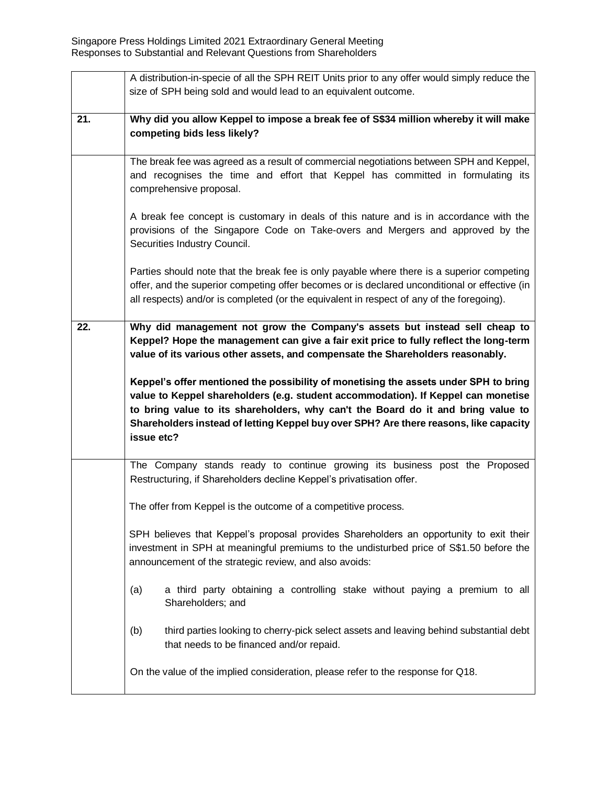|     | A distribution-in-specie of all the SPH REIT Units prior to any offer would simply reduce the<br>size of SPH being sold and would lead to an equivalent outcome.                                                                                                                                                                                                     |
|-----|----------------------------------------------------------------------------------------------------------------------------------------------------------------------------------------------------------------------------------------------------------------------------------------------------------------------------------------------------------------------|
| 21. | Why did you allow Keppel to impose a break fee of S\$34 million whereby it will make<br>competing bids less likely?                                                                                                                                                                                                                                                  |
|     | The break fee was agreed as a result of commercial negotiations between SPH and Keppel,<br>and recognises the time and effort that Keppel has committed in formulating its<br>comprehensive proposal.                                                                                                                                                                |
|     | A break fee concept is customary in deals of this nature and is in accordance with the<br>provisions of the Singapore Code on Take-overs and Mergers and approved by the<br>Securities Industry Council.                                                                                                                                                             |
|     | Parties should note that the break fee is only payable where there is a superior competing<br>offer, and the superior competing offer becomes or is declared unconditional or effective (in<br>all respects) and/or is completed (or the equivalent in respect of any of the foregoing).                                                                             |
| 22. | Why did management not grow the Company's assets but instead sell cheap to<br>Keppel? Hope the management can give a fair exit price to fully reflect the long-term<br>value of its various other assets, and compensate the Shareholders reasonably.                                                                                                                |
|     | Keppel's offer mentioned the possibility of monetising the assets under SPH to bring<br>value to Keppel shareholders (e.g. student accommodation). If Keppel can monetise<br>to bring value to its shareholders, why can't the Board do it and bring value to<br>Shareholders instead of letting Keppel buy over SPH? Are there reasons, like capacity<br>issue etc? |
|     | The Company stands ready to continue growing its business post the Proposed<br>Restructuring, if Shareholders decline Keppel's privatisation offer.                                                                                                                                                                                                                  |
|     | The offer from Keppel is the outcome of a competitive process.                                                                                                                                                                                                                                                                                                       |
|     | SPH believes that Keppel's proposal provides Shareholders an opportunity to exit their<br>investment in SPH at meaningful premiums to the undisturbed price of S\$1.50 before the<br>announcement of the strategic review, and also avoids:                                                                                                                          |
|     | a third party obtaining a controlling stake without paying a premium to all<br>(a)<br>Shareholders; and                                                                                                                                                                                                                                                              |
|     | (b)<br>third parties looking to cherry-pick select assets and leaving behind substantial debt<br>that needs to be financed and/or repaid.                                                                                                                                                                                                                            |
|     | On the value of the implied consideration, please refer to the response for Q18.                                                                                                                                                                                                                                                                                     |